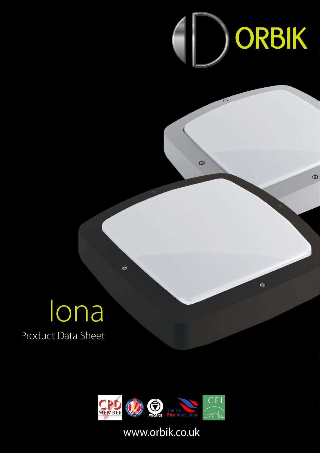

 $\ddot{\mathbf{o}}$ 

 $\bullet$ 

 $\odot$ 

## lona Product Data Sheet



 $\ddot{\mathbf{c}}$ 

### www.orbik.co.uk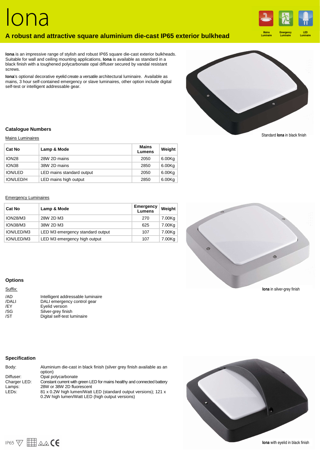# pna

#### **A robust and attractive square aluminium die-cast IP65 exterior bulkhead**

**Iona** is an impressive range of stylish and robust IP65 square die-cast exterior bulkheads. Suitable for wall and ceiling mounting applications, **Iona** is available as standard in a black finish with a toughened polycarbonate opal diffuser secured by vandal resistant screws.

**Iona**'s optional decorative eyelid create a versatile architectural luminaire. Available as mains, 3 hour self-contained emergency or slave luminaires, other option include digital self-test or intelligent addressable gear.



**Catalogue Numbers**

#### Mains Luminaires

| <b>Cat No</b>     | Lamp & Mode               | Mains<br>Lumens | Weight    |
|-------------------|---------------------------|-----------------|-----------|
| ION <sub>28</sub> | 28W 2D mains              | 2050            | $6.00$ Kg |
| ION38             | 38W 2D mains              | 2850            | $6.00$ Kg |
| <b>ION/LED</b>    | LED mains standard output | 2050            | $6.00$ Kg |
| ION/LED/H         | LED mains high output     | 2850            | $6.00$ Kg |

#### Emergency Luminaires

| <b>Cat No</b>   | Lamp & Mode                      | Emergency<br>Lumens | Weight |
|-----------------|----------------------------------|---------------------|--------|
| <b>ION28/M3</b> | 28W 2D M3                        | 270                 | 7.00Kg |
| ION38/M3        | 38W 2D M3                        | 625                 | 7.00Kg |
| ION/LED/M3      | LED M3 emergency standard output | 107                 | 7.00Kg |
| ION/LED/M3      | LED M3 emergency high output     | 107                 | 7.00Kg |

#### **Options**

| Suffix: |                                   |
|---------|-----------------------------------|
| /AD     | Intelligent addressable luminaire |
| /DALI   | DALI emergency control gear       |
| /EY     | Eyelid version                    |
| /SG     | Silver-grey finish                |
| /ST     | Digital self-test luminaire       |
|         |                                   |

#### **Specification**

| Aluminium die-cast in black finish (silver grey finish available as an  |
|-------------------------------------------------------------------------|
| option)                                                                 |
| Opal polycarbonate                                                      |
| Constant current with green LED for mains healthy and connected battery |
| 28W or 38W 2D fluorescent                                               |
| 81 x 0.2W high lumen/Watt LED (standard output versions); 121 x         |
| 0.2W high lumen/Watt LED (high output versions)                         |
|                                                                         |